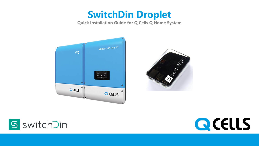# **SwitchDin Droplet**

**Quick Installation Guide for Q Cells Q Home System**







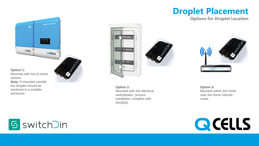### **Droplet Placement**

**Options for Droplet Location**

**Q.HOME\* ESS HYB-G2**  $\sqrt{16}$ は下さ<br>特別社  $\bullet$  $\circ$   $\circ$ QCELLS QCELLS **Option 1:** Mounted with the Q Home system. **Note:** If mounted outside the Droplet should be enclosed in a suitable

Mitchell

enclosure.



**Option 2:** Mounted with the electrical switchboard. (ensure installation complies with AS3000)



**Option 3:** Mounted within the home near the home internet router.



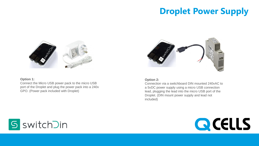## **Droplet Power Supply**



#### **Option 1:**

Connect the Micro USB power pack to the micro USB port of the Droplet and plug the power pack into a 240v GPO. (Power pack included with Droplet)



#### **Option 2:**

Connection via a switchboard DIN mounted 240vAC to a 5vDC power supply using a micro USB connection lead, plugging the lead into the micro USB port of the Droplet. (DIN mount power supply and lead not included)



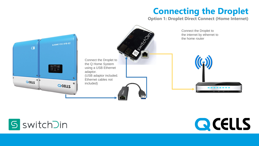### **Connecting the Droplet**

**Option 1: Droplet Direct Connect (Home Internet)**





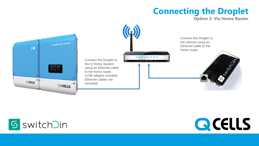## **Connecting the Droplet**

**Option 2: Via Home Router**



Connect the Droplet to the Q Home System using an Ethernet cable to the home router. (USB adaptor included. Ethernet cables not included)

 $\left(\left(\begin{matrix} 0 \\ 1 \end{matrix}\right)\right)$ 

Connect the Droplet to the internet using an Ethernet cable to the home router.





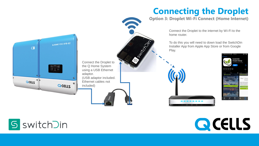

Connect the Droplet to the Q Home System using a USB Ethernet adaptor. (USB adaptor included. Ethernet cables not included)

Suntake Chicago

**Connecting the Droplet**

**Option 3: Droplet Wi-Fi Connect (Home Internet)**

Connect the Droplet to the internet by Wi-Fi to the home router.

To do this you will need to down load the SwitchDin Installer App from Apple App Store or from Google Play.







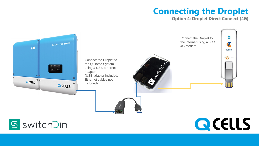### **Connecting the Droplet**

**Option 4: Droplet Direct Connect (4G)**